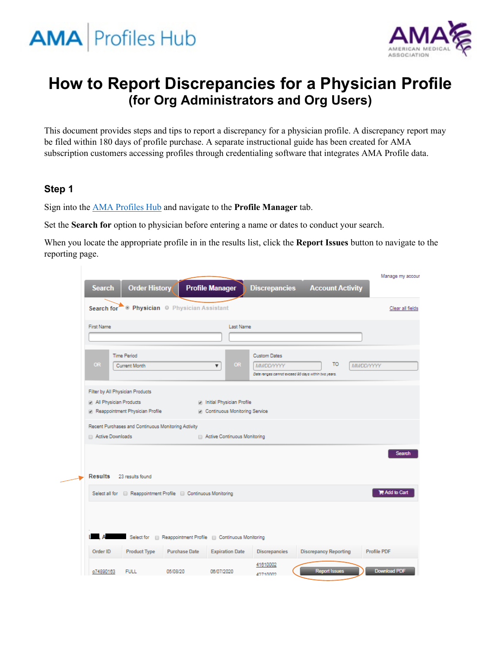



# **How to Report Discrepancies for a Physician Profile (for Org Administrators and Org Users)**

This document provides steps and tips to report a discrepancy for a physician profile. A discrepancy report may be filed within 180 days of profile purchase. A separate instructional guide has been created for AMA subscription customers accessing profiles through credentialing software that integrates AMA Profile data.

#### **Step 1**

Sign into the [AMA Profiles Hub](http://www.amaprofileshub.org/) and navigate to the **Profile Manager** tab.

Set the **Search for** option to physician before entering a name or dates to conduct your search.

When you locate the appropriate profile in in the results list, click the **Report Issues** button to navigate to the reporting page.

|                                                           |                                                                              |                                                                                               |                              | Manage my accour     |
|-----------------------------------------------------------|------------------------------------------------------------------------------|-----------------------------------------------------------------------------------------------|------------------------------|----------------------|
| <b>Order History</b><br><b>Search</b>                     | <b>Profile Manager</b>                                                       | <b>Discrepancies</b>                                                                          | <b>Account Activity</b>      |                      |
| Search for                                                | <sup>®</sup> Physician <sup>©</sup> Physician Assistant                      |                                                                                               |                              | Clear all fields     |
| <b>First Name</b>                                         | Last Name                                                                    |                                                                                               |                              |                      |
| <b>Time Period</b><br><b>OR</b><br><b>Current Month</b>   | <b>OR</b><br>$\overline{\mathbf{v}}$                                         | <b>Custom Dates</b><br><b>MMDDYYYY</b><br>Date ranges cannot exceed 90 days within two years. | то                           | <b>MMDD/YYYY</b>     |
| Filter by All Physician Products                          |                                                                              |                                                                                               |                              |                      |
| All Physician Products<br>Reappointment Physician Profile | in Initial Physician Profile<br><b>D</b> Continuous Monitoring Service       |                                                                                               |                              |                      |
| Recent Purchases and Continuous Monitoring Activity       |                                                                              |                                                                                               |                              |                      |
| Active Downloads                                          | Active Continuous Monitoring                                                 |                                                                                               |                              |                      |
|                                                           |                                                                              |                                                                                               |                              | Search               |
|                                                           |                                                                              |                                                                                               |                              |                      |
| Results 23 results found                                  |                                                                              |                                                                                               |                              |                      |
|                                                           | Select all for <b>B</b> Reappointment Profile <b>B</b> Continuous Monitoring |                                                                                               |                              | <b>R</b> Add to Cart |
|                                                           |                                                                              |                                                                                               |                              |                      |
|                                                           |                                                                              |                                                                                               |                              |                      |
|                                                           | Select for Reappointment Profile @ Continuous Monitoring                     |                                                                                               |                              |                      |
| Order ID<br><b>Product Type</b>                           | <b>Purchase Date</b><br><b>Expiration Date</b>                               | <b>Discrepancies</b>                                                                          | <b>Discrepancy Reporting</b> | Profile PDF          |
| <b>FULL</b><br>o74890163                                  | 05/08/20<br>06/07/2020                                                       | 41610002<br>42710002                                                                          | <b>Report Issues</b>         | Download PDF         |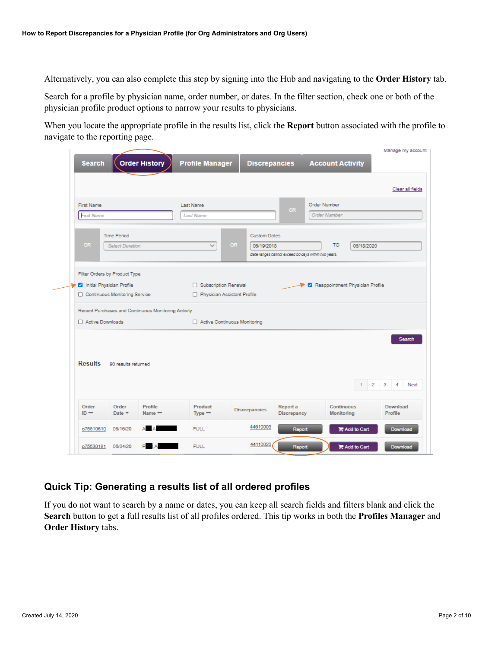Alternatively, you can also complete this step by signing into the Hub and navigating to the **Order History** tab.

Search for a profile by physician name, order number, or dates. In the filter section, check one or both of the physician profile product options to narrow your results to physicians.

When you locate the appropriate profile in the results list, click the **Report** button associated with the profile to navigate to the reporting page.

|                   |                                    | <b>Corder History</b>                               | <b>Profile Manager</b>       | <b>Discrepancies</b>    |                                                     | <b>Account Activity</b>         |                                                |
|-------------------|------------------------------------|-----------------------------------------------------|------------------------------|-------------------------|-----------------------------------------------------|---------------------------------|------------------------------------------------|
|                   |                                    |                                                     |                              |                         |                                                     |                                 | Clear all fields                               |
| <b>First Name</b> |                                    |                                                     | Last Name                    |                         | <b>OR</b>                                           | Order Number                    |                                                |
| <b>First Name</b> |                                    |                                                     | <b>Last Name</b>             |                         |                                                     | <b>Order Number</b>             |                                                |
|                   | <b>Time Period</b>                 |                                                     |                              | <b>Custom Dates</b>     |                                                     |                                 |                                                |
| <b>OR</b>         | <b>Select Duration</b>             |                                                     | $\sim$                       | <b>OR</b><br>06/19/2018 | Date ranges cannot exceed 90 days within two years. | <b>TO</b><br>06/18/2020         |                                                |
|                   |                                    | Recent Purchases and Continuous Monitoring Activity |                              |                         |                                                     |                                 |                                                |
|                   |                                    |                                                     |                              |                         |                                                     |                                 |                                                |
| Active Downloads  |                                    |                                                     | Active Continuous Monitoring |                         |                                                     |                                 |                                                |
| <b>Results</b>    | 90 results returned                |                                                     |                              |                         |                                                     |                                 | $\overline{2}$<br>$\overline{\mathbf{3}}$<br>4 |
| Order<br>$ID =$   | Order<br>Date $\blacktriangledown$ | Profile<br>$Name =$                                 | Product<br>$Type -$          | <b>Discrepancies</b>    | Report a<br><b>Discrepancy</b>                      | Continuous<br><b>Monitoring</b> | Search<br>Next<br>Download<br>Profile          |
| o75610610         | 06/16/20                           | Δ                                                   | <b>FULL</b>                  | 44610003                | Report                                              | Add to Cart                     | Download                                       |

### **Quick Tip: Generating a results list of all ordered profiles**

If you do not want to search by a name or dates, you can keep all search fields and filters blank and click the **Search** button to get a full results list of all profiles ordered. This tip works in both the **Profiles Manager** and **Order History** tabs.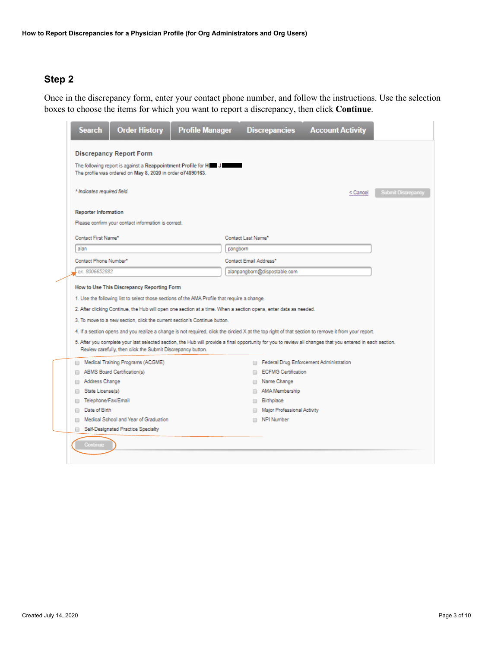Once in the discrepancy form, enter your contact phone number, and follow the instructions. Use the selection boxes to choose the items for which you want to report a discrepancy, then click **Continue**.

| <b>Search</b>                           | <b>Order History</b>                                                                                                                                                                                                                                                                                                                                         | <b>Profile Manager</b> |                        | <b>Discrepancies</b>         | <b>Account Activity</b>                                                                                                                                                                                                                                                                                           |                           |
|-----------------------------------------|--------------------------------------------------------------------------------------------------------------------------------------------------------------------------------------------------------------------------------------------------------------------------------------------------------------------------------------------------------------|------------------------|------------------------|------------------------------|-------------------------------------------------------------------------------------------------------------------------------------------------------------------------------------------------------------------------------------------------------------------------------------------------------------------|---------------------------|
|                                         | <b>Discrepancy Report Form</b>                                                                                                                                                                                                                                                                                                                               |                        |                        |                              |                                                                                                                                                                                                                                                                                                                   |                           |
|                                         | The following report is against a Reappointment Profile for H J<br>The profile was ordered on May 8, 2020 in order o74890163.                                                                                                                                                                                                                                |                        |                        |                              |                                                                                                                                                                                                                                                                                                                   |                           |
| * Indicates required field.             |                                                                                                                                                                                                                                                                                                                                                              |                        |                        |                              | < Cancel                                                                                                                                                                                                                                                                                                          | <b>Submit Discrepancy</b> |
| <b>Reporter Information</b>             |                                                                                                                                                                                                                                                                                                                                                              |                        |                        |                              |                                                                                                                                                                                                                                                                                                                   |                           |
|                                         | Please confirm your contact information is correct.                                                                                                                                                                                                                                                                                                          |                        |                        |                              |                                                                                                                                                                                                                                                                                                                   |                           |
| Contact First Name*                     |                                                                                                                                                                                                                                                                                                                                                              |                        | Contact Last Name*     |                              |                                                                                                                                                                                                                                                                                                                   |                           |
| alan                                    |                                                                                                                                                                                                                                                                                                                                                              |                        | pangborn               |                              |                                                                                                                                                                                                                                                                                                                   |                           |
| Contact Phone Number*                   |                                                                                                                                                                                                                                                                                                                                                              |                        | Contact Email Address* |                              |                                                                                                                                                                                                                                                                                                                   |                           |
| ex. 8006652882                          |                                                                                                                                                                                                                                                                                                                                                              |                        |                        | alanpangborn@dispostable.com |                                                                                                                                                                                                                                                                                                                   |                           |
|                                         | 1. Use the following list to select those sections of the AMA Profile that require a change.<br>2. After clicking Continue, the Hub will open one section at a time. When a section opens, enter data as needed.<br>3. To move to a new section, click the current section's Continue button.<br>Review carefully, then click the Submit Discrepancy button. |                        |                        |                              | 4. If a section opens and you realize a change is not required, click the circled X at the top right of that section to remove it from your report.<br>5. After you complete your last selected section, the Hub will provide a final opportunity for you to review all changes that you entered in each section. |                           |
|                                         | Medical Training Programs (ACGME)                                                                                                                                                                                                                                                                                                                            |                        |                        |                              | Federal Drug Enforcement Administration                                                                                                                                                                                                                                                                           |                           |
|                                         | ABMS Board Certification(s)                                                                                                                                                                                                                                                                                                                                  |                        |                        | <b>ECFMG Certification</b>   |                                                                                                                                                                                                                                                                                                                   |                           |
| Address Change                          |                                                                                                                                                                                                                                                                                                                                                              |                        |                        | Name Change                  |                                                                                                                                                                                                                                                                                                                   |                           |
| State License(s)<br>Telephone/Fax/Email |                                                                                                                                                                                                                                                                                                                                                              |                        |                        | AMA Membership<br>Birthplace |                                                                                                                                                                                                                                                                                                                   |                           |
| Date of Birth                           |                                                                                                                                                                                                                                                                                                                                                              |                        |                        | Major Professional Activity  |                                                                                                                                                                                                                                                                                                                   |                           |
|                                         | Medical School and Year of Graduation                                                                                                                                                                                                                                                                                                                        |                        | n.                     | NPI Number                   |                                                                                                                                                                                                                                                                                                                   |                           |
| ⊟                                       | Self-Designated Practice Specialty                                                                                                                                                                                                                                                                                                                           |                        |                        |                              |                                                                                                                                                                                                                                                                                                                   |                           |
| Continue                                |                                                                                                                                                                                                                                                                                                                                                              |                        |                        |                              |                                                                                                                                                                                                                                                                                                                   |                           |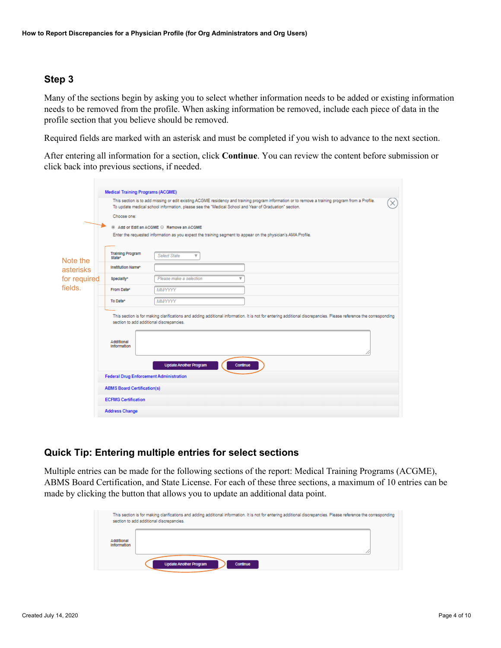Many of the sections begin by asking you to select whether information needs to be added or existing information needs to be removed from the profile. When asking information be removed, include each piece of data in the profile section that you believe should be removed.

Required fields are marked with an asterisk and must be completed if you wish to advance to the next section.

After entering all information for a section, click **Continue**. You can review the content before submission or click back into previous sections, if needed.

| This section is to add missing or edit existing ACGME residency and training program information or to remove a training program from a Profile.<br>To update medical school information, please see the "Medical School and Year of Graduation" section. |                          |                                                                                                                                                                                                                                                                                                                                                                                                                                                                                                               |  |  |  |  |  |
|-----------------------------------------------------------------------------------------------------------------------------------------------------------------------------------------------------------------------------------------------------------|--------------------------|---------------------------------------------------------------------------------------------------------------------------------------------------------------------------------------------------------------------------------------------------------------------------------------------------------------------------------------------------------------------------------------------------------------------------------------------------------------------------------------------------------------|--|--|--|--|--|
| Choose one:                                                                                                                                                                                                                                               |                          |                                                                                                                                                                                                                                                                                                                                                                                                                                                                                                               |  |  |  |  |  |
| Add or Edit an ACGME C Remove an ACGME                                                                                                                                                                                                                    |                          |                                                                                                                                                                                                                                                                                                                                                                                                                                                                                                               |  |  |  |  |  |
|                                                                                                                                                                                                                                                           |                          |                                                                                                                                                                                                                                                                                                                                                                                                                                                                                                               |  |  |  |  |  |
|                                                                                                                                                                                                                                                           |                          |                                                                                                                                                                                                                                                                                                                                                                                                                                                                                                               |  |  |  |  |  |
| <b>Training Program</b><br>State*                                                                                                                                                                                                                         | <b>Select State</b><br>v |                                                                                                                                                                                                                                                                                                                                                                                                                                                                                                               |  |  |  |  |  |
| Institution Name*                                                                                                                                                                                                                                         |                          |                                                                                                                                                                                                                                                                                                                                                                                                                                                                                                               |  |  |  |  |  |
| Specialty*                                                                                                                                                                                                                                                | Please make a selection  |                                                                                                                                                                                                                                                                                                                                                                                                                                                                                                               |  |  |  |  |  |
| From Date*                                                                                                                                                                                                                                                | MMYYYYY                  |                                                                                                                                                                                                                                                                                                                                                                                                                                                                                                               |  |  |  |  |  |
| To Date*                                                                                                                                                                                                                                                  | MMYYYYY                  |                                                                                                                                                                                                                                                                                                                                                                                                                                                                                                               |  |  |  |  |  |
| Additional<br>Information                                                                                                                                                                                                                                 |                          |                                                                                                                                                                                                                                                                                                                                                                                                                                                                                                               |  |  |  |  |  |
|                                                                                                                                                                                                                                                           |                          |                                                                                                                                                                                                                                                                                                                                                                                                                                                                                                               |  |  |  |  |  |
|                                                                                                                                                                                                                                                           |                          |                                                                                                                                                                                                                                                                                                                                                                                                                                                                                                               |  |  |  |  |  |
|                                                                                                                                                                                                                                                           |                          |                                                                                                                                                                                                                                                                                                                                                                                                                                                                                                               |  |  |  |  |  |
| <b>ECFMG Certification</b>                                                                                                                                                                                                                                |                          |                                                                                                                                                                                                                                                                                                                                                                                                                                                                                                               |  |  |  |  |  |
| <b>Address Change</b>                                                                                                                                                                                                                                     |                          |                                                                                                                                                                                                                                                                                                                                                                                                                                                                                                               |  |  |  |  |  |
|                                                                                                                                                                                                                                                           | for required             | <b>Medical Training Programs (ACGME)</b><br>Enter the requested information as you expect the training segment to appear on the physician's AMA Profile.<br>This section is for making clarifications and adding additional information. It is not for entering additional discrepancies. Please reference the corresponding<br>section to add additional discrepancies.<br><b>Update Another Program</b><br>Continue<br><b>Federal Drug Enforcement Administration</b><br><b>ABMS Board Certification(s)</b> |  |  |  |  |  |

### **Quick Tip: Entering multiple entries for select sections**

Multiple entries can be made for the following sections of the report: Medical Training Programs (ACGME), ABMS Board Certification, and State License. For each of these three sections, a maximum of 10 entries can be made by clicking the button that allows you to update an additional data point.

|                           | This section is for making clarifications and adding additional information. It is not for entering additional discrepancies. Please reference the corresponding<br>section to add additional discrepancies. |
|---------------------------|--------------------------------------------------------------------------------------------------------------------------------------------------------------------------------------------------------------|
| Additional<br>Information |                                                                                                                                                                                                              |
|                           | <b>Update Another Program</b><br>Continue                                                                                                                                                                    |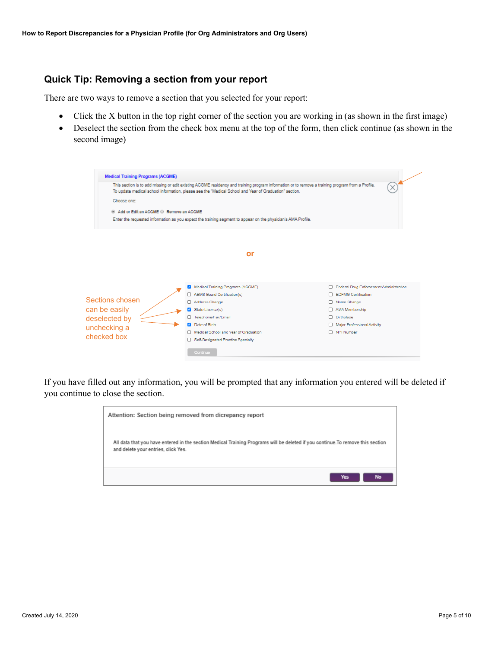#### **Quick Tip: Removing a section from your report**

There are two ways to remove a section that you selected for your report:

- Click the X button in the top right corner of the section you are working in (as shown in the first image)
- Deselect the section from the check box menu at the top of the form, then click continue (as shown in the second image)

| <b>Medical Training Programs (ACGME)</b> |                                                                                                                                                                                                                                                           |                                         |
|------------------------------------------|-----------------------------------------------------------------------------------------------------------------------------------------------------------------------------------------------------------------------------------------------------------|-----------------------------------------|
|                                          | This section is to add missing or edit existing ACGME residency and training program information or to remove a training program from a Profile.<br>To update medical school information, please see the "Medical School and Year of Graduation" section. |                                         |
| Choose one:                              |                                                                                                                                                                                                                                                           |                                         |
| Add or Edit an ACGME C Remove an ACGME   |                                                                                                                                                                                                                                                           |                                         |
|                                          | Enter the requested information as you expect the training segment to appear on the physician's AMA Profile.                                                                                                                                              |                                         |
|                                          |                                                                                                                                                                                                                                                           |                                         |
|                                          | or                                                                                                                                                                                                                                                        |                                         |
|                                          |                                                                                                                                                                                                                                                           |                                         |
|                                          |                                                                                                                                                                                                                                                           |                                         |
|                                          | Medical Training Programs (ACGME)                                                                                                                                                                                                                         | Federal Drug Enforcement Administration |
|                                          | ABMS Board Certification(s)                                                                                                                                                                                                                               | □ ECFMG Certification                   |
| Sections chosen                          | Address Change                                                                                                                                                                                                                                            | Name Change                             |
| can be easily                            | State License(s)                                                                                                                                                                                                                                          | AMA Membership                          |
| deselected by                            | Telephone/Fax/Email                                                                                                                                                                                                                                       | <b>Birthplace</b>                       |
| unchecking a                             | Date of Birth                                                                                                                                                                                                                                             | Major Professional Activity             |
|                                          | Medical School and Year of Graduation                                                                                                                                                                                                                     | NPI Number                              |
| checked box                              | Self-Designated Practice Specialty                                                                                                                                                                                                                        |                                         |
|                                          | Continue                                                                                                                                                                                                                                                  |                                         |
|                                          |                                                                                                                                                                                                                                                           |                                         |

If you have filled out any information, you will be prompted that any information you entered will be deleted if you continue to close the section.

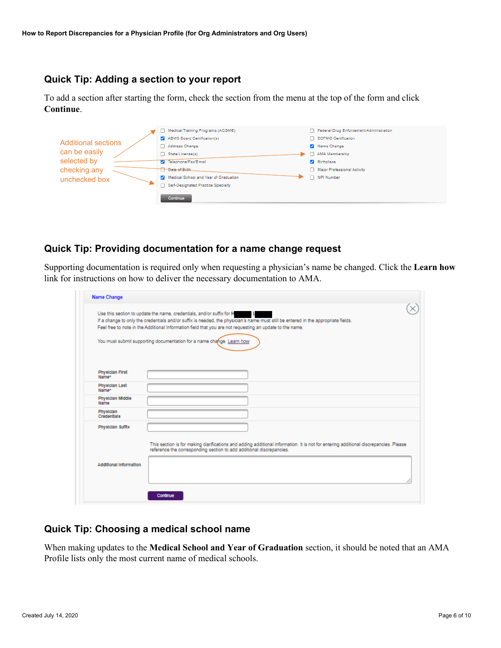### **Quick Tip: Adding a section to your report**

To add a section after starting the form, check the section from the menu at the top of the form and click **Continue**.

|                            | Medical Training Programs (ACGME)     | Federal Drug Enforcement Administration |
|----------------------------|---------------------------------------|-----------------------------------------|
| <b>Additional sections</b> | ABMS Board Certification(s)           | □ ECFMG Certification                   |
|                            | Address Change                        | Name Change                             |
| can be easily              | State License(s)                      | AMA Membership                          |
| selected by                | <b>7</b> Telephone/Fax/Email          | Birthplace                              |
| checking any               | <b>T</b> Date of Birth                | Major Professional Activity             |
| unchecked box              | Medical School and Year of Graduation | NPI Number                              |
|                            | Self-Designated Practice Specialty    |                                         |
|                            | Continue                              |                                         |

#### **Quick Tip: Providing documentation for a name change request**

Supporting documentation is required only when requesting a physician's name be changed. Click the **Learn how** link for instructions on how to deliver the necessary documentation to AMA.

| Name Change                     |                                                                                                                                                                                                                                                |
|---------------------------------|------------------------------------------------------------------------------------------------------------------------------------------------------------------------------------------------------------------------------------------------|
|                                 | Use this section to update the name, credentials, and/or suffix for H                                                                                                                                                                          |
|                                 | If a change to only the credentials and/or suffix is needed, the physician's name must still be entered in the appropriate fields.<br>Feel free to note in the Additional Information field that you are not requesting an update to the name. |
|                                 |                                                                                                                                                                                                                                                |
|                                 | You must submit supporting documentation for a name change. Learn how                                                                                                                                                                          |
|                                 |                                                                                                                                                                                                                                                |
|                                 |                                                                                                                                                                                                                                                |
| <b>Physician First</b><br>Name* |                                                                                                                                                                                                                                                |
| <b>Physician Last</b>           |                                                                                                                                                                                                                                                |
| Name*<br>Physician Middle       |                                                                                                                                                                                                                                                |
| Name                            |                                                                                                                                                                                                                                                |
| Physician<br>Credentiala        |                                                                                                                                                                                                                                                |
| Physician Suffix                |                                                                                                                                                                                                                                                |
|                                 |                                                                                                                                                                                                                                                |
|                                 | This section is for making clarifications and adding additional information. It is not for entering additional discrepancies. Please<br>reference the corresponding section to add additional discrepancies.                                   |
| Additional Information          |                                                                                                                                                                                                                                                |
|                                 |                                                                                                                                                                                                                                                |
|                                 |                                                                                                                                                                                                                                                |
|                                 |                                                                                                                                                                                                                                                |

#### **Quick Tip: Choosing a medical school name**

When making updates to the **Medical School and Year of Graduation** section, it should be noted that an AMA Profile lists only the most current name of medical schools.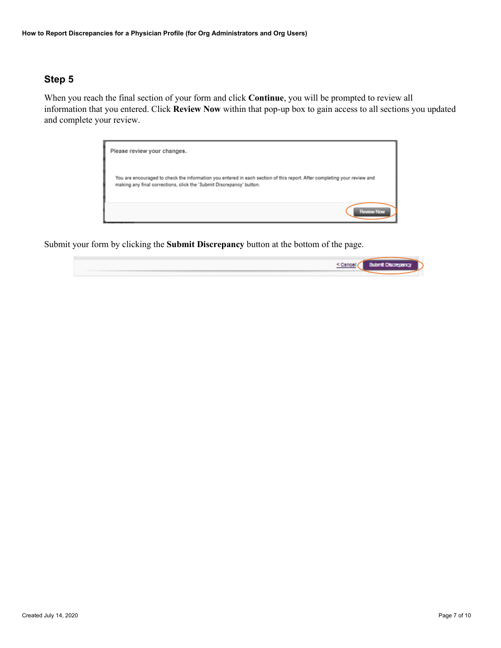When you reach the final section of your form and click **Continue**, you will be prompted to review all information that you entered. Click **Review Now** within that pop-up box to gain access to all sections you updated and complete your review.



Submit your form by clicking the **Submit Discrepancy** button at the bottom of the page.

| <cant< td=""><td><b>Submit Distributions</b></td></cant<> | <b>Submit Distributions</b> |
|-----------------------------------------------------------|-----------------------------|
|                                                           |                             |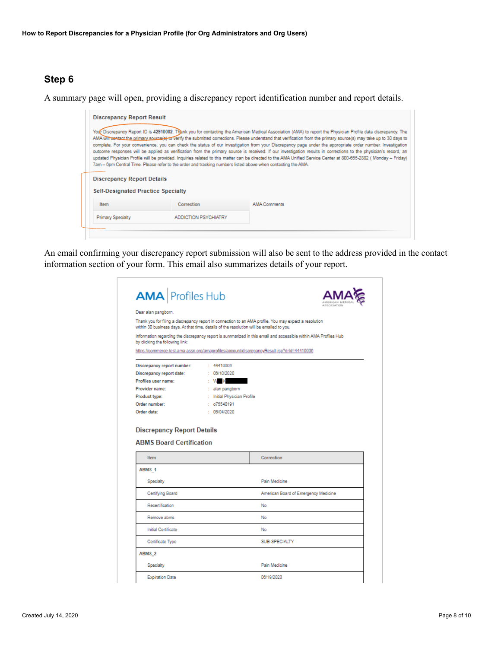A summary page will open, providing a discrepancy report identification number and report details.

| <b>Discrepancy Report Details</b>         | 7am - 6pm Central Time. Please refer to the order and tracking numbers listed above when contacting the AMA. | Your Discrepancy Report ID is 42910002. Thank you for contacting the American Medical Association (AMA) to report the Physician Profile data discrepancy. The<br>AMA will contact the primary source(e) to verify the submitted corrections. Please understand that verification from the primary source(s) may take up to 30 days to<br>complete. For your convenience, you can check the status of our investigation from your Discrepancy page under the appropriate order number. Investigation<br>outcome responses will be applied as verification from the primary source is received. If our investigation results in corrections to the physician's record, an<br>updated Physician Profile will be provided. Inquiries related to this matter can be directed to the AMA Unified Service Center at 800-665-2882 (Monday - Friday) |  |  |  |  |  |
|-------------------------------------------|--------------------------------------------------------------------------------------------------------------|---------------------------------------------------------------------------------------------------------------------------------------------------------------------------------------------------------------------------------------------------------------------------------------------------------------------------------------------------------------------------------------------------------------------------------------------------------------------------------------------------------------------------------------------------------------------------------------------------------------------------------------------------------------------------------------------------------------------------------------------------------------------------------------------------------------------------------------------|--|--|--|--|--|
| <b>Self-Designated Practice Specialty</b> |                                                                                                              |                                                                                                                                                                                                                                                                                                                                                                                                                                                                                                                                                                                                                                                                                                                                                                                                                                             |  |  |  |  |  |
| <b>Item</b>                               | Correction                                                                                                   | <b>AMA Comments</b>                                                                                                                                                                                                                                                                                                                                                                                                                                                                                                                                                                                                                                                                                                                                                                                                                         |  |  |  |  |  |
|                                           |                                                                                                              |                                                                                                                                                                                                                                                                                                                                                                                                                                                                                                                                                                                                                                                                                                                                                                                                                                             |  |  |  |  |  |

An email confirming your discrepancy report submission will also be sent to the address provided in the contact information section of your form. This email also summarizes details of your report.

| <b>AMA</b> Profiles Hub                                                                  |                             |                                                                                                                 |
|------------------------------------------------------------------------------------------|-----------------------------|-----------------------------------------------------------------------------------------------------------------|
| Dear alan pangborn,                                                                      |                             |                                                                                                                 |
| within 30 business days. At that time, details of the resolution will be emailed to you. |                             | Thank you for filing a discrepancy report in connection to an AMA profile. You may expect a resolution          |
| by clicking the following link:                                                          |                             | Information regarding the discrepancy report is summarized in this email and accessible within AMA Profiles Hub |
|                                                                                          |                             | https://commerce-test.ama-assn.org/amaprofiles/account/discrepancyResult.jsp?drld=44410006                      |
| Discrepancy report number:                                                               | : 44410008                  |                                                                                                                 |
| Discrepancy report date:                                                                 | : 06/10/2020                |                                                                                                                 |
| Profiles user name:                                                                      | $: W \times$                |                                                                                                                 |
| Provider name:                                                                           | : alan pangborn             |                                                                                                                 |
| Product type:                                                                            | : Initial Physician Profile |                                                                                                                 |
| Order number:                                                                            | : 075540191                 |                                                                                                                 |
| Order date:                                                                              | : 08/04/2020                |                                                                                                                 |
|                                                                                          |                             |                                                                                                                 |
| Item                                                                                     |                             | Correction                                                                                                      |
| ABMS 1                                                                                   |                             |                                                                                                                 |
| Specialty                                                                                |                             | Pain Medicine                                                                                                   |
| Certifying Board                                                                         |                             | American Board of Emergency Medicine                                                                            |
| Recertification                                                                          |                             | No                                                                                                              |
| Remove abms                                                                              |                             | No                                                                                                              |
| Initial Certificate                                                                      |                             | No.                                                                                                             |
| Certificate Type                                                                         |                             | SUB-SPECIALTY                                                                                                   |
| ABMS <sub>2</sub>                                                                        |                             |                                                                                                                 |
| <b>Discrepancy Report Details</b><br><b>ABMS Board Certification</b><br>Specialty        |                             | Pain Medicine                                                                                                   |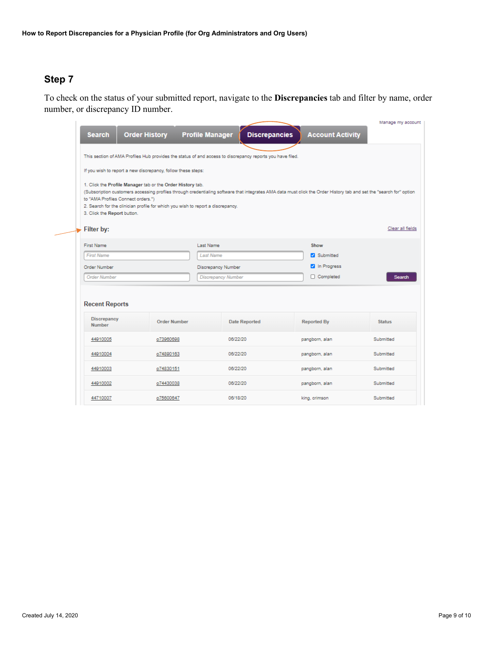To check on the status of your submitted report, navigate to the **Discrepancies** tab and filter by name, order number, or discrepancy ID number.

| <b>Order History</b><br><b>Search</b>                                                                                                                                                                                                                                                                                                                                                     |                     | <b>Profile Manager</b>    | <b>Discrepancies</b> | <b>Account Activity</b> | Manage my account |  |  |
|-------------------------------------------------------------------------------------------------------------------------------------------------------------------------------------------------------------------------------------------------------------------------------------------------------------------------------------------------------------------------------------------|---------------------|---------------------------|----------------------|-------------------------|-------------------|--|--|
| This section of AMA Profiles Hub provides the status of and access to discrepancy reports you have filed.                                                                                                                                                                                                                                                                                 |                     |                           |                      |                         |                   |  |  |
| If you wish to report a new discrepancy, follow these steps:                                                                                                                                                                                                                                                                                                                              |                     |                           |                      |                         |                   |  |  |
| 1. Click the Profile Manager tab or the Order History tab.<br>(Subscription customers accessing profiles through credentialing software that integrates AMA data must click the Order History tab and set the "search for" option<br>to "AMA Profiles Connect orders.")<br>2. Search for the clinician profile for which you wish to report a discrepancy.<br>3. Click the Report button. |                     |                           |                      |                         |                   |  |  |
| Filter by:                                                                                                                                                                                                                                                                                                                                                                                |                     |                           |                      |                         | Clear all fields  |  |  |
| First Name                                                                                                                                                                                                                                                                                                                                                                                |                     | Last Name                 |                      | Show                    |                   |  |  |
| <b>First Name</b>                                                                                                                                                                                                                                                                                                                                                                         |                     | <b>Last Name</b>          |                      | Submitted               |                   |  |  |
| Order Number                                                                                                                                                                                                                                                                                                                                                                              |                     | Discrepancy Number        |                      | n Progress              |                   |  |  |
| <b>Order Number</b>                                                                                                                                                                                                                                                                                                                                                                       |                     | <b>Discrepancy Number</b> |                      | Completed               | Search            |  |  |
| <b>Recent Reports</b><br><b>Discrepancy</b><br><b>Number</b>                                                                                                                                                                                                                                                                                                                              | <b>Order Number</b> |                           | <b>Date Reported</b> | <b>Reported By</b>      | <b>Status</b>     |  |  |
| 44910005                                                                                                                                                                                                                                                                                                                                                                                  | o73960698           | 06/22/20                  |                      | pangborn, alan          | Submitted         |  |  |
| 44910004                                                                                                                                                                                                                                                                                                                                                                                  | o74890163           | 06/22/20                  |                      | pangborn, alan          | Submitted         |  |  |
| 44910003                                                                                                                                                                                                                                                                                                                                                                                  | o74830151           | 06/22/20                  |                      | pangborn, alan          | Submitted         |  |  |
| 44910002                                                                                                                                                                                                                                                                                                                                                                                  | o74430038           | 06/22/20                  |                      | pangborn, alan          | Submitted         |  |  |
| 44710007                                                                                                                                                                                                                                                                                                                                                                                  | o75600647           | 06/18/20                  |                      | king, crimson           | Submitted         |  |  |